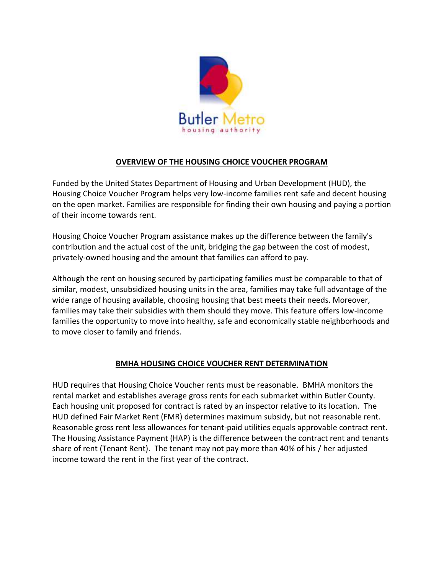

## **OVERVIEW OF THE HOUSING CHOICE VOUCHER PROGRAM**

Funded by the United States Department of Housing and Urban Development (HUD), the Housing Choice Voucher Program helps very low-income families rent safe and decent housing on the open market. Families are responsible for finding their own housing and paying a portion of their income towards rent.

Housing Choice Voucher Program assistance makes up the difference between the family's contribution and the actual cost of the unit, bridging the gap between the cost of modest, privately-owned housing and the amount that families can afford to pay.

Although the rent on housing secured by participating families must be comparable to that of similar, modest, unsubsidized housing units in the area, families may take full advantage of the wide range of housing available, choosing housing that best meets their needs. Moreover, families may take their subsidies with them should they move. This feature offers low-income families the opportunity to move into healthy, safe and economically stable neighborhoods and to move closer to family and friends.

## **BMHA HOUSING CHOICE VOUCHER RENT DETERMINATION**

HUD requires that Housing Choice Voucher rents must be reasonable. BMHA monitors the rental market and establishes average gross rents for each submarket within Butler County. Each housing unit proposed for contract is rated by an inspector relative to its location. The HUD defined Fair Market Rent (FMR) determines maximum subsidy, but not reasonable rent. Reasonable gross rent less allowances for tenant-paid utilities equals approvable contract rent. The Housing Assistance Payment (HAP) is the difference between the contract rent and tenants share of rent (Tenant Rent). The tenant may not pay more than 40% of his / her adjusted income toward the rent in the first year of the contract.